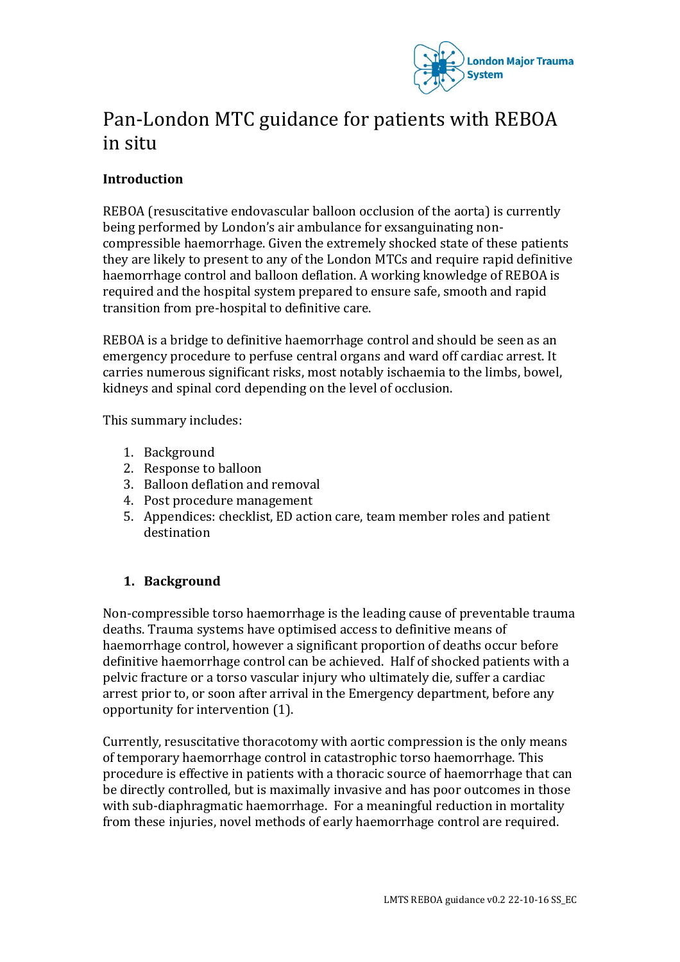

# Pan-London MTC guidance for patients with REBOA in situ

# **Introduction**

REBOA (resuscitative endovascular balloon occlusion of the aorta) is currently being performed by London's air ambulance for exsanguinating noncompressible haemorrhage. Given the extremely shocked state of these patients they are likely to present to any of the London MTCs and require rapid definitive haemorrhage control and balloon deflation. A working knowledge of REBOA is required and the hospital system prepared to ensure safe, smooth and rapid transition from pre-hospital to definitive care.

REBOA is a bridge to definitive haemorrhage control and should be seen as an emergency procedure to perfuse central organs and ward off cardiac arrest. It carries numerous significant risks, most notably ischaemia to the limbs, bowel, kidneys and spinal cord depending on the level of occlusion.

This summary includes:

- 1. Background
- 2. Response to balloon
- 3. Balloon deflation and removal
- 4. Post procedure management
- 5. Appendices: checklist, ED action care, team member roles and patient destination

# **1. Background**

Non-compressible torso haemorrhage is the leading cause of preventable trauma deaths. Trauma systems have optimised access to definitive means of haemorrhage control, however a significant proportion of deaths occur before definitive haemorrhage control can be achieved. Half of shocked patients with a pelvic fracture or a torso vascular injury who ultimately die, suffer a cardiac arrest prior to, or soon after arrival in the Emergency department, before any opportunity for intervention (1).

Currently, resuscitative thoracotomy with aortic compression is the only means of temporary haemorrhage control in catastrophic torso haemorrhage. This procedure is effective in patients with a thoracic source of haemorrhage that can be directly controlled, but is maximally invasive and has poor outcomes in those with sub-diaphragmatic haemorrhage. For a meaningful reduction in mortality from these injuries, novel methods of early haemorrhage control are required.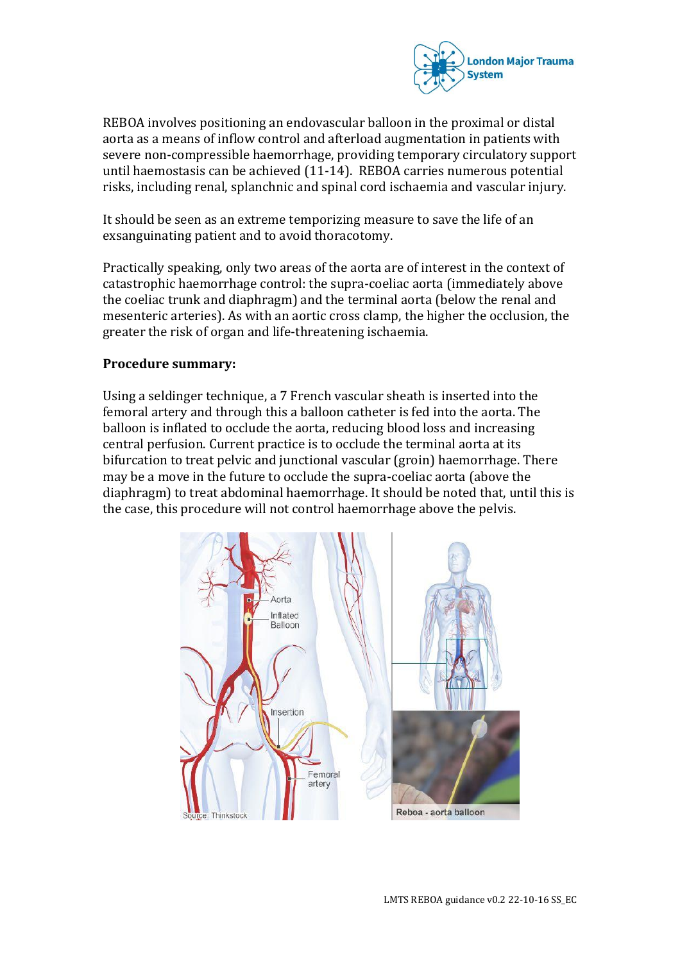

REBOA involves positioning an endovascular balloon in the proximal or distal aorta as a means of inflow control and afterload augmentation in patients with severe non-compressible haemorrhage, providing temporary circulatory support until haemostasis can be achieved (11-14). REBOA carries numerous potential risks, including renal, splanchnic and spinal cord ischaemia and vascular injury.

It should be seen as an extreme temporizing measure to save the life of an exsanguinating patient and to avoid thoracotomy.

Practically speaking, only two areas of the aorta are of interest in the context of catastrophic haemorrhage control: the supra-coeliac aorta (immediately above the coeliac trunk and diaphragm) and the terminal aorta (below the renal and mesenteric arteries). As with an aortic cross clamp, the higher the occlusion, the greater the risk of organ and life-threatening ischaemia.

#### **Procedure summary:**

Using a seldinger technique, a 7 French vascular sheath is inserted into the femoral artery and through this a balloon catheter is fed into the aorta. The balloon is inflated to occlude the aorta, reducing blood loss and increasing central perfusion. Current practice is to occlude the terminal aorta at its bifurcation to treat pelvic and junctional vascular (groin) haemorrhage. There may be a move in the future to occlude the supra-coeliac aorta (above the diaphragm) to treat abdominal haemorrhage. It should be noted that, until this is the case, this procedure will not control haemorrhage above the pelvis.

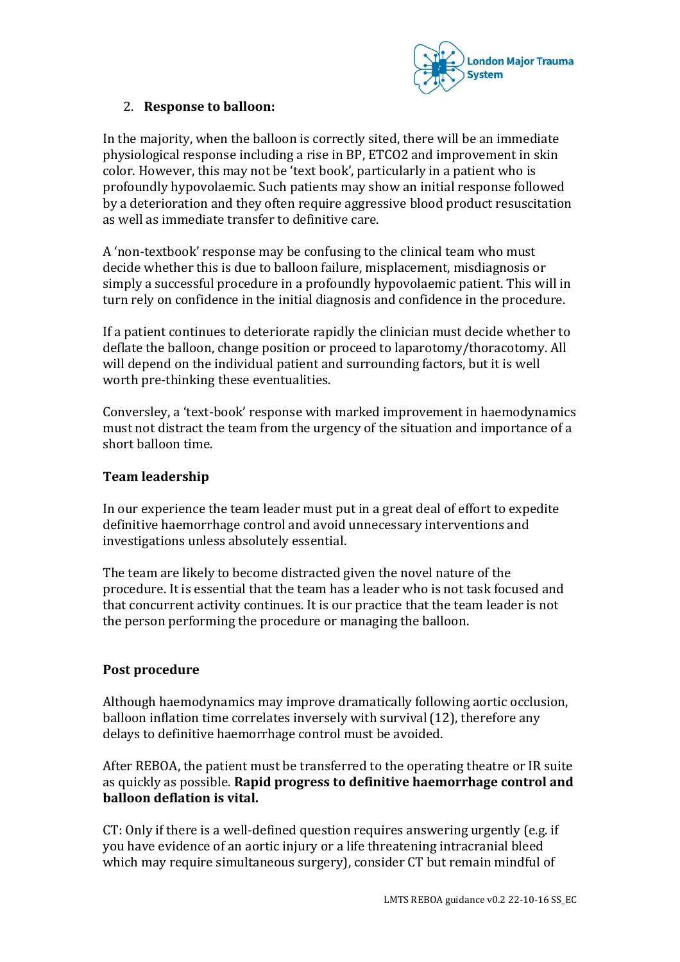

# 2. **Response to balloon:**

In the majority, when the balloon is correctly sited, there will be an immediate physiological response including a rise in BP, ETCO2 and improvement in skin color. However, this may not be 'text book', particularly in a patient who is profoundly hypovolaemic. Such patients may show an initial response followed by a deterioration and they often require aggressive blood product resuscitation as well as immediate transfer to definitive care.

A 'non-textbook' response may be confusing to the clinical team who must decide whether this is due to balloon failure, misplacement, misdiagnosis or simply a successful procedure in a profoundly hypovolaemic patient. This will in turn rely on confidence in the initial diagnosis and confidence in the procedure.

If a patient continues to deteriorate rapidly the clinician must decide whether to deflate the balloon, change position or proceed to laparotomy/thoracotomy. All will depend on the individual patient and surrounding factors, but it is well worth pre-thinking these eventualities.

Conversley, a 'text-book' response with marked improvement in haemodynamics must not distract the team from the urgency of the situation and importance of a short balloon time.

#### **Team leadership**

In our experience the team leader must put in a great deal of effort to expedite definitive haemorrhage control and avoid unnecessary interventions and investigations unless absolutely essential.

The team are likely to become distracted given the novel nature of the procedure. It is essential that the team has a leader who is not task focused and that concurrent activity continues. It is our practice that the team leader is not the person performing the procedure or managing the balloon.

#### **Post procedure**

Although haemodynamics may improve dramatically following aortic occlusion, balloon inflation time correlates inversely with survival (12), therefore any delays to definitive haemorrhage control must be avoided.

After REBOA, the patient must be transferred to the operating theatre or IR suite as quickly as possible. **Rapid progress to definitive haemorrhage control and balloon deflation is vital.**

CT: Only if there is a well-defined question requires answering urgently (e.g. if you have evidence of an aortic injury or a life threatening intracranial bleed which may require simultaneous surgery), consider CT but remain mindful of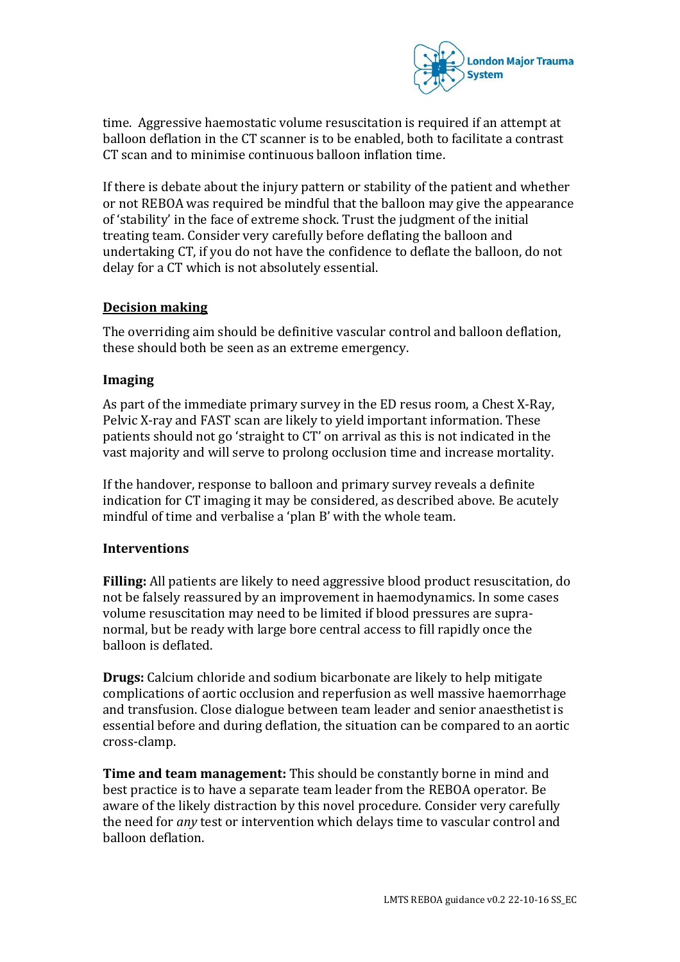

time. Aggressive haemostatic volume resuscitation is required if an attempt at balloon deflation in the CT scanner is to be enabled, both to facilitate a contrast CT scan and to minimise continuous balloon inflation time.

If there is debate about the injury pattern or stability of the patient and whether or not REBOA was required be mindful that the balloon may give the appearance of 'stability' in the face of extreme shock. Trust the judgment of the initial treating team. Consider very carefully before deflating the balloon and undertaking CT, if you do not have the confidence to deflate the balloon, do not delay for a CT which is not absolutely essential.

#### **Decision making**

The overriding aim should be definitive vascular control and balloon deflation, these should both be seen as an extreme emergency.

#### **Imaging**

As part of the immediate primary survey in the ED resus room, a Chest X-Ray, Pelvic X-ray and FAST scan are likely to yield important information. These patients should not go 'straight to CT' on arrival as this is not indicated in the vast majority and will serve to prolong occlusion time and increase mortality.

If the handover, response to balloon and primary survey reveals a definite indication for CT imaging it may be considered, as described above. Be acutely mindful of time and verbalise a 'plan B' with the whole team.

#### **Interventions**

**Filling:** All patients are likely to need aggressive blood product resuscitation, do not be falsely reassured by an improvement in haemodynamics. In some cases volume resuscitation may need to be limited if blood pressures are supranormal, but be ready with large bore central access to fill rapidly once the balloon is deflated.

**Drugs:** Calcium chloride and sodium bicarbonate are likely to help mitigate complications of aortic occlusion and reperfusion as well massive haemorrhage and transfusion. Close dialogue between team leader and senior anaesthetist is essential before and during deflation, the situation can be compared to an aortic cross-clamp.

**Time and team management:** This should be constantly borne in mind and best practice is to have a separate team leader from the REBOA operator. Be aware of the likely distraction by this novel procedure. Consider very carefully the need for *any* test or intervention which delays time to vascular control and balloon deflation.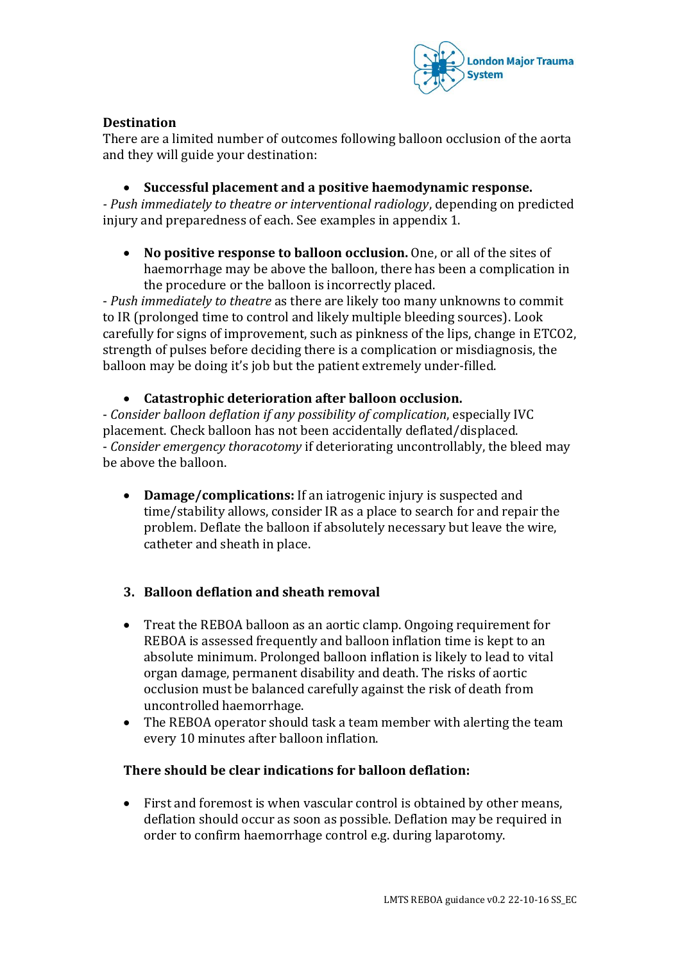

# **Destination**

There are a limited number of outcomes following balloon occlusion of the aorta and they will guide your destination:

**Successful placement and a positive haemodynamic response.**

*- Push immediately to theatre or interventional radiology*, depending on predicted injury and preparedness of each. See examples in appendix 1.

 **No positive response to balloon occlusion.** One, or all of the sites of haemorrhage may be above the balloon, there has been a complication in the procedure or the balloon is incorrectly placed.

- *Push immediately to theatre* as there are likely too many unknowns to commit to IR (prolonged time to control and likely multiple bleeding sources). Look carefully for signs of improvement, such as pinkness of the lips, change in ETCO2, strength of pulses before deciding there is a complication or misdiagnosis, the balloon may be doing it's job but the patient extremely under-filled.

#### **Catastrophic deterioration after balloon occlusion.**

- *Consider balloon deflation if any possibility of complication*, especially IVC placement. Check balloon has not been accidentally deflated/displaced. - *Consider emergency thoracotomy* if deteriorating uncontrollably, the bleed may be above the balloon.

- **Damage/complications:** If an iatrogenic injury is suspected and time/stability allows, consider IR as a place to search for and repair the problem. Deflate the balloon if absolutely necessary but leave the wire, catheter and sheath in place.
- **3. Balloon deflation and sheath removal**
- Treat the REBOA balloon as an aortic clamp. Ongoing requirement for REBOA is assessed frequently and balloon inflation time is kept to an absolute minimum. Prolonged balloon inflation is likely to lead to vital organ damage, permanent disability and death. The risks of aortic occlusion must be balanced carefully against the risk of death from uncontrolled haemorrhage.
- The REBOA operator should task a team member with alerting the team every 10 minutes after balloon inflation.

#### **There should be clear indications for balloon deflation:**

 First and foremost is when vascular control is obtained by other means, deflation should occur as soon as possible. Deflation may be required in order to confirm haemorrhage control e.g. during laparotomy.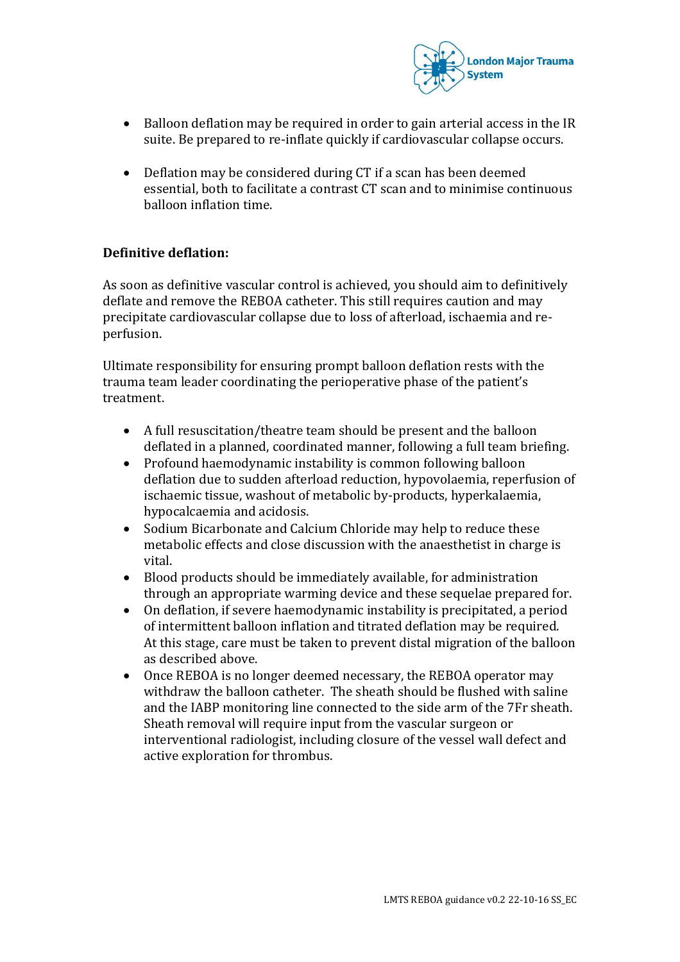

- Balloon deflation may be required in order to gain arterial access in the IR suite. Be prepared to re-inflate quickly if cardiovascular collapse occurs.
- Deflation may be considered during CT if a scan has been deemed essential, both to facilitate a contrast CT scan and to minimise continuous balloon inflation time.

### **Definitive deflation:**

As soon as definitive vascular control is achieved, you should aim to definitively deflate and remove the REBOA catheter. This still requires caution and may precipitate cardiovascular collapse due to loss of afterload, ischaemia and reperfusion.

Ultimate responsibility for ensuring prompt balloon deflation rests with the trauma team leader coordinating the perioperative phase of the patient's treatment.

- A full resuscitation/theatre team should be present and the balloon deflated in a planned, coordinated manner, following a full team briefing.
- Profound haemodynamic instability is common following balloon deflation due to sudden afterload reduction, hypovolaemia, reperfusion of ischaemic tissue, washout of metabolic by-products, hyperkalaemia, hypocalcaemia and acidosis.
- Sodium Bicarbonate and Calcium Chloride may help to reduce these metabolic effects and close discussion with the anaesthetist in charge is vital.
- Blood products should be immediately available, for administration through an appropriate warming device and these sequelae prepared for.
- On deflation, if severe haemodynamic instability is precipitated, a period of intermittent balloon inflation and titrated deflation may be required. At this stage, care must be taken to prevent distal migration of the balloon as described above.
- Once REBOA is no longer deemed necessary, the REBOA operator may withdraw the balloon catheter. The sheath should be flushed with saline and the IABP monitoring line connected to the side arm of the 7Fr sheath. Sheath removal will require input from the vascular surgeon or interventional radiologist, including closure of the vessel wall defect and active exploration for thrombus.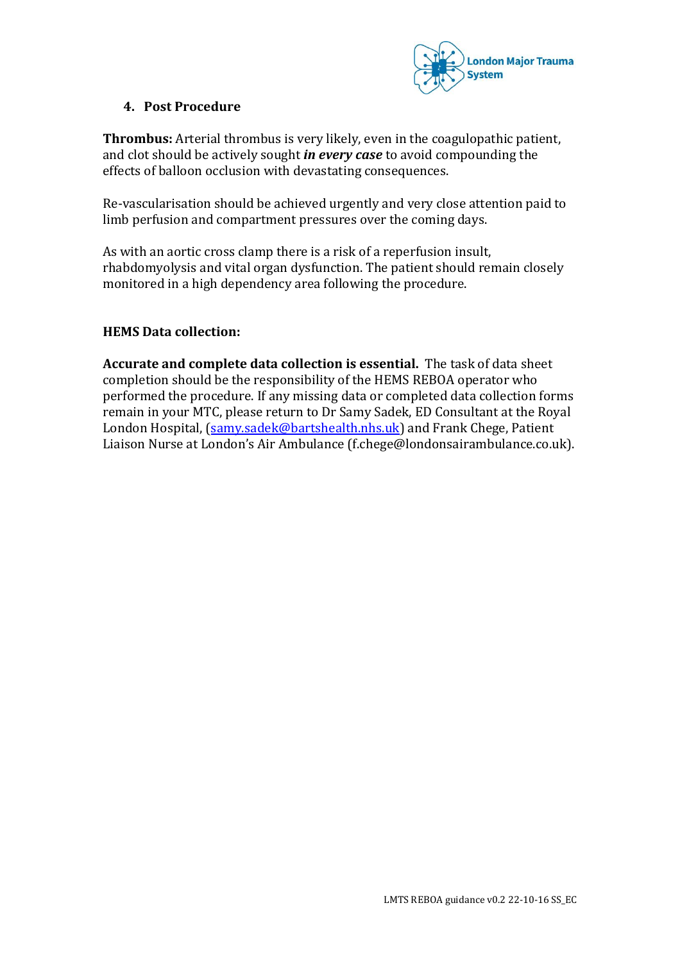

## **4. Post Procedure**

**Thrombus:** Arterial thrombus is very likely, even in the coagulopathic patient, and clot should be actively sought *in every case* to avoid compounding the effects of balloon occlusion with devastating consequences.

Re-vascularisation should be achieved urgently and very close attention paid to limb perfusion and compartment pressures over the coming days.

As with an aortic cross clamp there is a risk of a reperfusion insult, rhabdomyolysis and vital organ dysfunction. The patient should remain closely monitored in a high dependency area following the procedure.

# **HEMS Data collection:**

**Accurate and complete data collection is essential.** The task of data sheet completion should be the responsibility of the HEMS REBOA operator who performed the procedure. If any missing data or completed data collection forms remain in your MTC, please return to Dr Samy Sadek, ED Consultant at the Royal London Hospital, [\(samy.sadek@bartshealth.nhs.uk\)](mailto:samy.sadek@bartshealth.nhs.uk) and Frank Chege, Patient Liaison Nurse at London's Air Ambulance (f.chege@londonsairambulance.co.uk).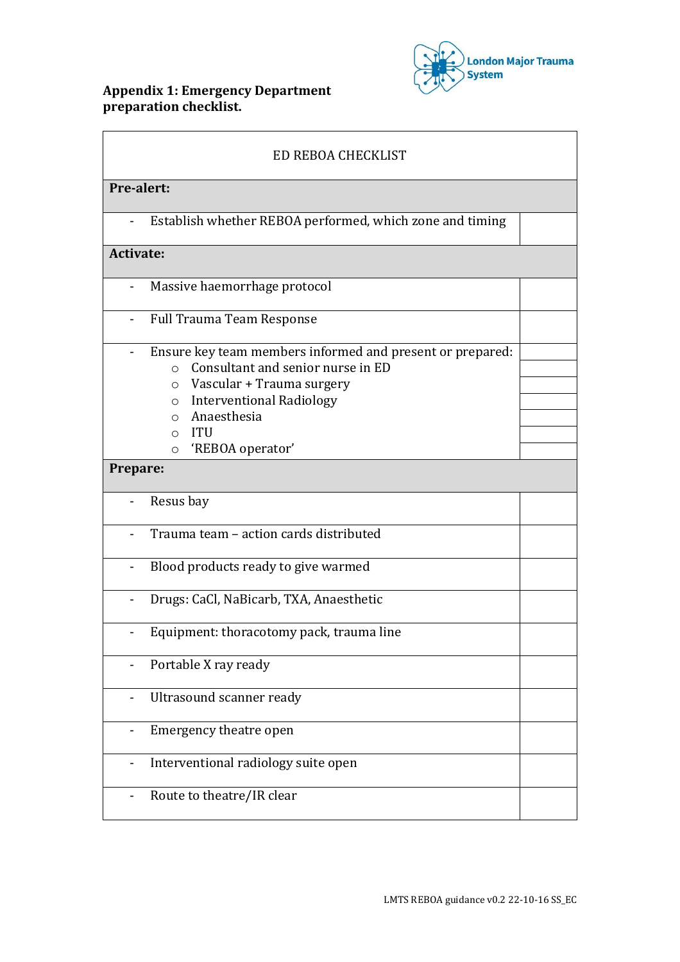# **Appendix 1: Emergency Department preparation checklist.**



| ED REBOA CHECKLIST                                                  |  |
|---------------------------------------------------------------------|--|
| Pre-alert:                                                          |  |
| Establish whether REBOA performed, which zone and timing            |  |
| <b>Activate:</b>                                                    |  |
| Massive haemorrhage protocol                                        |  |
| <b>Full Trauma Team Response</b>                                    |  |
| Ensure key team members informed and present or prepared:           |  |
| Consultant and senior nurse in ED<br>$\circ$                        |  |
| Vascular + Trauma surgery<br>$\circ$                                |  |
| <b>Interventional Radiology</b><br>$\circ$                          |  |
| Anaesthesia<br>$\circ$                                              |  |
| $\circ$ ITU                                                         |  |
| 'REBOA operator'<br>$\circ$                                         |  |
| Prepare:                                                            |  |
| Resus bay                                                           |  |
| Trauma team - action cards distributed                              |  |
| Blood products ready to give warmed                                 |  |
| Drugs: CaCl, NaBicarb, TXA, Anaesthetic<br>$\overline{\phantom{0}}$ |  |
| Equipment: thoracotomy pack, trauma line                            |  |
| Portable X ray ready                                                |  |
| Ultrasound scanner ready<br>Ĭ.                                      |  |
| Emergency theatre open<br>$\blacksquare$                            |  |
| Interventional radiology suite open<br>$\overline{\phantom{a}}$     |  |
| Route to theatre/IR clear                                           |  |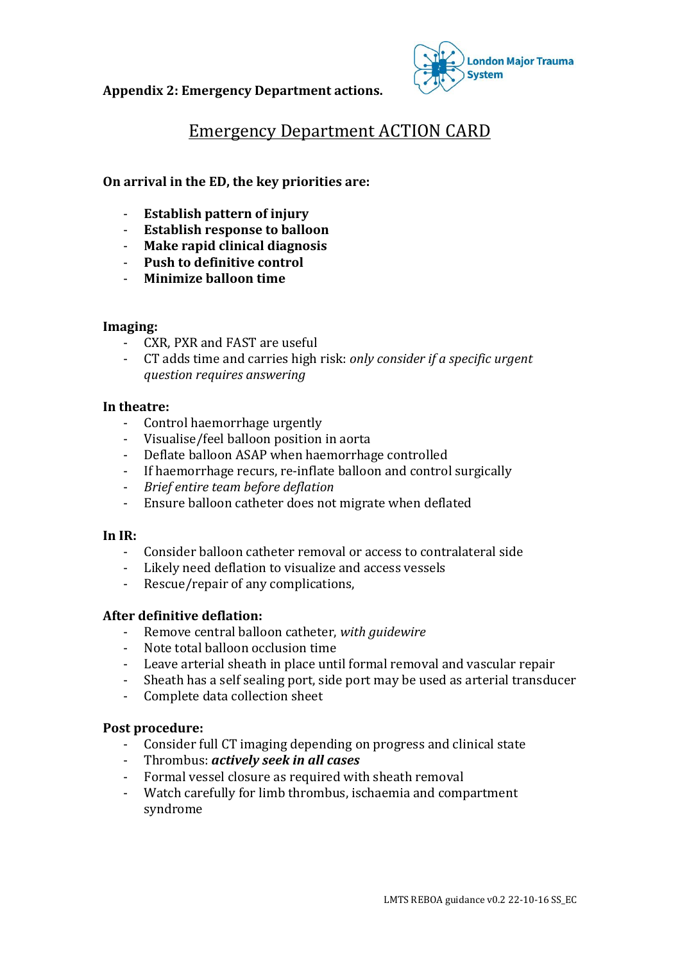**Appendix 2: Emergency Department actions.**



# Emergency Department ACTION CARD

#### **On arrival in the ED, the key priorities are:**

- **Establish pattern of injury**
- **Establish response to balloon**
- **Make rapid clinical diagnosis**
- **Push to definitive control**
- **Minimize balloon time**

#### **Imaging:**

- CXR, PXR and FAST are useful
- CT adds time and carries high risk: *only consider if a specific urgent question requires answering*

#### **In theatre:**

- Control haemorrhage urgently
- Visualise/feel balloon position in aorta
- Deflate balloon ASAP when haemorrhage controlled
- If haemorrhage recurs, re-inflate balloon and control surgically
- *Brief entire team before deflation*
- Ensure balloon catheter does not migrate when deflated

#### **In IR:**

- Consider balloon catheter removal or access to contralateral side
- Likely need deflation to visualize and access vessels
- Rescue/repair of any complications,

#### **After definitive deflation:**

- Remove central balloon catheter, *with guidewire*
- Note total balloon occlusion time
- Leave arterial sheath in place until formal removal and vascular repair
- Sheath has a self sealing port, side port may be used as arterial transducer
- Complete data collection sheet

#### **Post procedure:**

- Consider full CT imaging depending on progress and clinical state
- Thrombus: *actively seek in all cases*
- Formal vessel closure as required with sheath removal
- Watch carefully for limb thrombus, ischaemia and compartment syndrome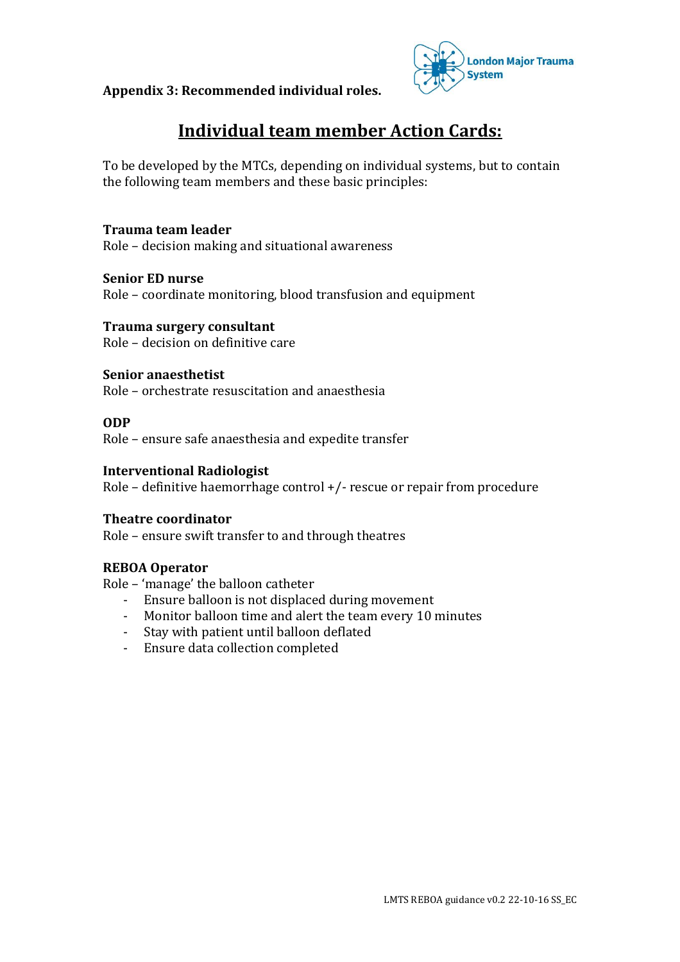**Appendix 3: Recommended individual roles.**



# **Individual team member Action Cards:**

To be developed by the MTCs, depending on individual systems, but to contain the following team members and these basic principles:

**Trauma team leader**  Role – decision making and situational awareness

**Senior ED nurse**  Role – coordinate monitoring, blood transfusion and equipment

**Trauma surgery consultant**  Role – decision on definitive care

**Senior anaesthetist**  Role – orchestrate resuscitation and anaesthesia

#### **ODP**

Role – ensure safe anaesthesia and expedite transfer

#### **Interventional Radiologist**

Role – definitive haemorrhage control +/- rescue or repair from procedure

#### **Theatre coordinator**

Role – ensure swift transfer to and through theatres

#### **REBOA Operator**

Role – 'manage' the balloon catheter

- Ensure balloon is not displaced during movement
- Monitor balloon time and alert the team every 10 minutes
- Stay with patient until balloon deflated
- Ensure data collection completed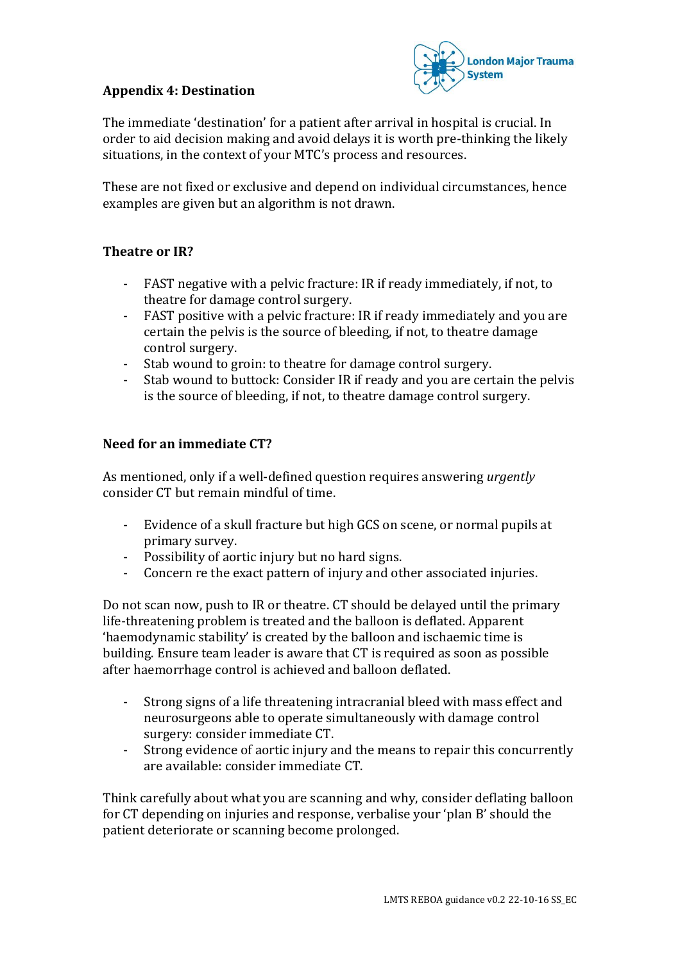### **Appendix 4: Destination**



The immediate 'destination' for a patient after arrival in hospital is crucial. In order to aid decision making and avoid delays it is worth pre-thinking the likely situations, in the context of your MTC's process and resources.

These are not fixed or exclusive and depend on individual circumstances, hence examples are given but an algorithm is not drawn.

#### **Theatre or IR?**

- FAST negative with a pelvic fracture: IR if ready immediately, if not, to theatre for damage control surgery.
- FAST positive with a pelvic fracture: IR if ready immediately and you are certain the pelvis is the source of bleeding, if not, to theatre damage control surgery.
- Stab wound to groin: to theatre for damage control surgery.
- Stab wound to buttock: Consider IR if ready and you are certain the pelvis is the source of bleeding, if not, to theatre damage control surgery.

#### **Need for an immediate CT?**

As mentioned, only if a well-defined question requires answering *urgently* consider CT but remain mindful of time.

- Evidence of a skull fracture but high GCS on scene, or normal pupils at primary survey.
- Possibility of aortic injury but no hard signs.
- Concern re the exact pattern of injury and other associated injuries.

Do not scan now, push to IR or theatre. CT should be delayed until the primary life-threatening problem is treated and the balloon is deflated. Apparent 'haemodynamic stability' is created by the balloon and ischaemic time is building. Ensure team leader is aware that CT is required as soon as possible after haemorrhage control is achieved and balloon deflated.

- Strong signs of a life threatening intracranial bleed with mass effect and neurosurgeons able to operate simultaneously with damage control surgery: consider immediate CT.
- Strong evidence of aortic injury and the means to repair this concurrently are available: consider immediate CT.

Think carefully about what you are scanning and why, consider deflating balloon for CT depending on injuries and response, verbalise your 'plan B' should the patient deteriorate or scanning become prolonged.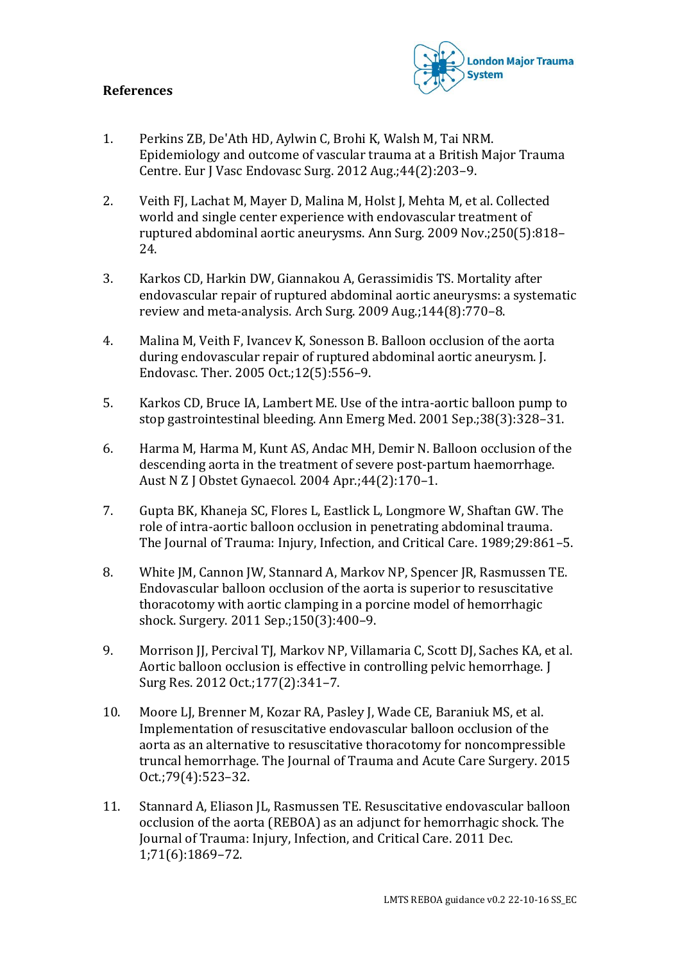#### **References**



- 1. Perkins ZB, De'Ath HD, Aylwin C, Brohi K, Walsh M, Tai NRM. Epidemiology and outcome of vascular trauma at a British Major Trauma Centre. Eur J Vasc Endovasc Surg. 2012 Aug.;44(2):203–9.
- 2. Veith FJ, Lachat M, Mayer D, Malina M, Holst J, Mehta M, et al. Collected world and single center experience with endovascular treatment of ruptured abdominal aortic aneurysms. Ann Surg. 2009 Nov.;250(5):818– 24.
- 3. Karkos CD, Harkin DW, Giannakou A, Gerassimidis TS. Mortality after endovascular repair of ruptured abdominal aortic aneurysms: a systematic review and meta-analysis. Arch Surg. 2009 Aug.;144(8):770–8.
- 4. Malina M, Veith F, Ivancev K, Sonesson B. Balloon occlusion of the aorta during endovascular repair of ruptured abdominal aortic aneurysm. J. Endovasc. Ther. 2005 Oct.;12(5):556–9.
- 5. Karkos CD, Bruce IA, Lambert ME. Use of the intra-aortic balloon pump to stop gastrointestinal bleeding. Ann Emerg Med. 2001 Sep.;38(3):328–31.
- 6. Harma M, Harma M, Kunt AS, Andac MH, Demir N. Balloon occlusion of the descending aorta in the treatment of severe post-partum haemorrhage. Aust N Z J Obstet Gynaecol. 2004 Apr.;44(2):170–1.
- 7. Gupta BK, Khaneja SC, Flores L, Eastlick L, Longmore W, Shaftan GW. The role of intra-aortic balloon occlusion in penetrating abdominal trauma. The Journal of Trauma: Injury, Infection, and Critical Care. 1989;29:861–5.
- 8. White JM, Cannon JW, Stannard A, Markov NP, Spencer JR, Rasmussen TE. Endovascular balloon occlusion of the aorta is superior to resuscitative thoracotomy with aortic clamping in a porcine model of hemorrhagic shock. Surgery. 2011 Sep.;150(3):400–9.
- 9. Morrison JJ, Percival TJ, Markov NP, Villamaria C, Scott DJ, Saches KA, et al. Aortic balloon occlusion is effective in controlling pelvic hemorrhage. J Surg Res. 2012 Oct.;177(2):341–7.
- 10. Moore LJ, Brenner M, Kozar RA, Pasley J, Wade CE, Baraniuk MS, et al. Implementation of resuscitative endovascular balloon occlusion of the aorta as an alternative to resuscitative thoracotomy for noncompressible truncal hemorrhage. The Journal of Trauma and Acute Care Surgery. 2015 Oct.;79(4):523–32.
- 11. Stannard A, Eliason JL, Rasmussen TE. Resuscitative endovascular balloon occlusion of the aorta (REBOA) as an adjunct for hemorrhagic shock. The Journal of Trauma: Injury, Infection, and Critical Care. 2011 Dec. 1;71(6):1869–72.